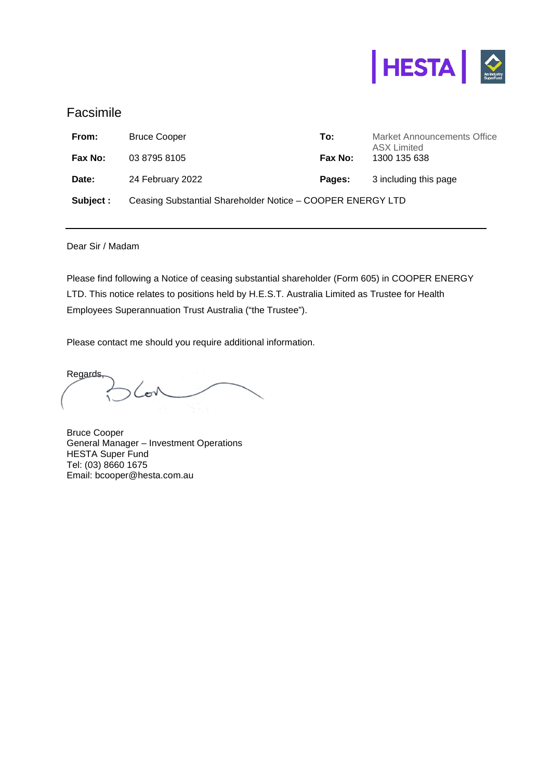

# Facsimile

| From:     | <b>Bruce Cooper</b>                                        | To:     | <b>Market Announcements Office</b><br><b>ASX Limited</b> |
|-----------|------------------------------------------------------------|---------|----------------------------------------------------------|
| Fax No:   | 03 8795 8105                                               | Fax No: | 1300 135 638                                             |
| Date:     | 24 February 2022                                           | Pages:  | 3 including this page                                    |
| Subject : | Ceasing Substantial Shareholder Notice - COOPER ENERGY LTD |         |                                                          |

Dear Sir / Madam

Please find following a Notice of ceasing substantial shareholder (Form 605) in COOPER ENERGY LTD. This notice relates to positions held by H.E.S.T. Australia Limited as Trustee for Health Employees Superannuation Trust Australia ("the Trustee").

Please contact me should you require additional information.

Regards, Cov

Bruce Cooper General Manager – Investment Operations HESTA Super Fund Tel: (03) 8660 1675 Email: bcooper@hesta.com.au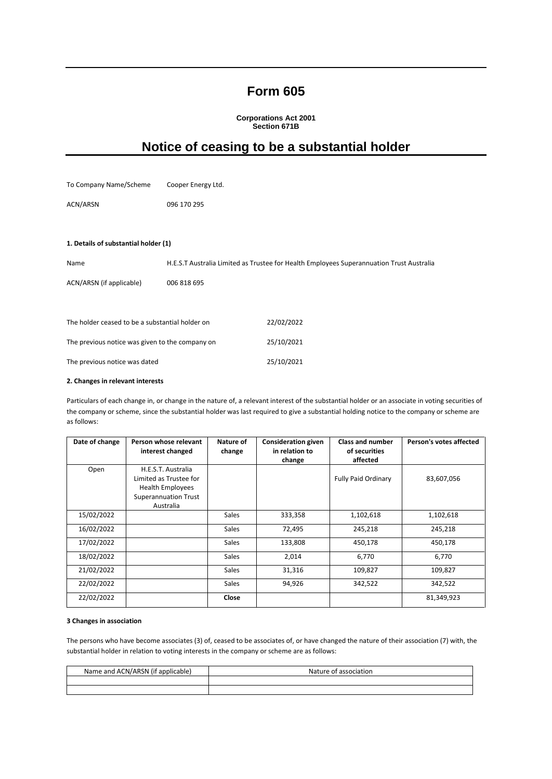# **Form 605**

**Corporations Act 2001 Section 671B** 

# **Notice of ceasing to be a substantial holder**

| To Company Name/Scheme                          | Cooper Energy Ltd. |                                                                                          |
|-------------------------------------------------|--------------------|------------------------------------------------------------------------------------------|
| ACN/ARSN                                        | 096 170 295        |                                                                                          |
|                                                 |                    |                                                                                          |
| 1. Details of substantial holder (1)            |                    |                                                                                          |
| Name                                            |                    | H.E.S.T Australia Limited as Trustee for Health Employees Superannuation Trust Australia |
| ACN/ARSN (if applicable)                        | 006 818 695        |                                                                                          |
|                                                 |                    |                                                                                          |
| The holder ceased to be a substantial holder on |                    | 22/02/2022                                                                               |
| The previous notice was given to the company on |                    | 25/10/2021                                                                               |
| The previous notice was dated                   |                    | 25/10/2021                                                                               |

#### **2. Changes in relevant interests**

Particulars of each change in, or change in the nature of, a relevant interest of the substantial holder or an associate in voting securities of the company or scheme, since the substantial holder was last required to give a substantial holding notice to the company or scheme are as follows:

| Date of change | Person whose relevant<br>interest changed                                                                           | Nature of<br>change | <b>Consideration given</b><br>in relation to<br>change | <b>Class and number</b><br>of securities<br>affected | Person's votes affected |
|----------------|---------------------------------------------------------------------------------------------------------------------|---------------------|--------------------------------------------------------|------------------------------------------------------|-------------------------|
| Open           | H.E.S.T. Australia<br>Limited as Trustee for<br><b>Health Employees</b><br><b>Superannuation Trust</b><br>Australia |                     |                                                        | <b>Fully Paid Ordinary</b>                           | 83,607,056              |
| 15/02/2022     |                                                                                                                     | <b>Sales</b>        | 333,358                                                | 1,102,618                                            | 1,102,618               |
| 16/02/2022     |                                                                                                                     | Sales               | 72,495                                                 | 245,218                                              | 245,218                 |
| 17/02/2022     |                                                                                                                     | <b>Sales</b>        | 133,808                                                | 450,178                                              | 450,178                 |
| 18/02/2022     |                                                                                                                     | <b>Sales</b>        | 2,014                                                  | 6,770                                                | 6,770                   |
| 21/02/2022     |                                                                                                                     | <b>Sales</b>        | 31,316                                                 | 109,827                                              | 109,827                 |
| 22/02/2022     |                                                                                                                     | <b>Sales</b>        | 94,926                                                 | 342,522                                              | 342,522                 |
| 22/02/2022     |                                                                                                                     | Close               |                                                        |                                                      | 81,349,923              |

#### **3 Changes in association**

The persons who have become associates (3) of, ceased to be associates of, or have changed the nature of their association (7) with, the substantial holder in relation to voting interests in the company or scheme are as follows:

| Name and ACN/ARSN (if applicable) | Nature of association |  |
|-----------------------------------|-----------------------|--|
|                                   |                       |  |
|                                   |                       |  |